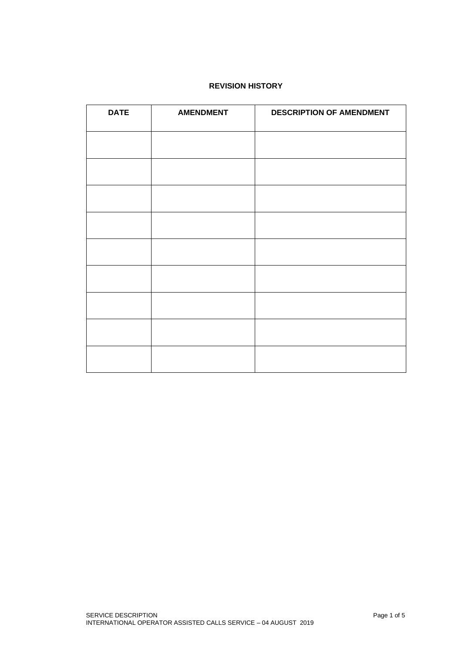## **REVISION HISTORY**

| <b>DATE</b> | <b>AMENDMENT</b> | <b>DESCRIPTION OF AMENDMENT</b> |
|-------------|------------------|---------------------------------|
|             |                  |                                 |
|             |                  |                                 |
|             |                  |                                 |
|             |                  |                                 |
|             |                  |                                 |
|             |                  |                                 |
|             |                  |                                 |
|             |                  |                                 |
|             |                  |                                 |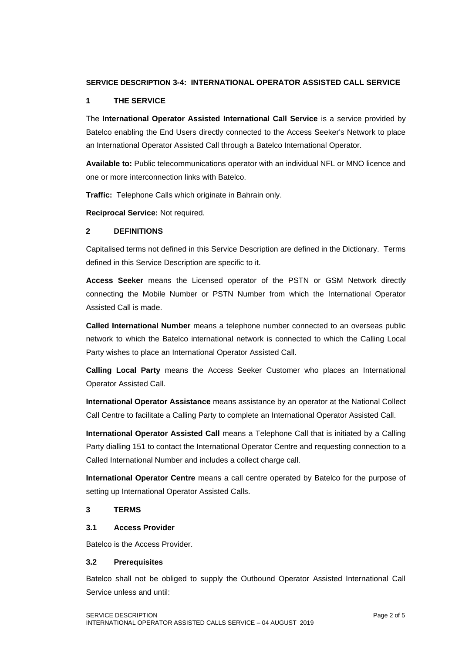## **SERVICE DESCRIPTION 3-4: INTERNATIONAL OPERATOR ASSISTED CALL SERVICE**

### **1 THE SERVICE**

The **International Operator Assisted International Call Service** is a service provided by Batelco enabling the End Users directly connected to the Access Seeker's Network to place an International Operator Assisted Call through a Batelco International Operator.

**Available to:** Public telecommunications operator with an individual NFL or MNO licence and one or more interconnection links with Batelco.

**Traffic:** Telephone Calls which originate in Bahrain only.

**Reciprocal Service:** Not required.

## **2 DEFINITIONS**

Capitalised terms not defined in this Service Description are defined in the Dictionary. Terms defined in this Service Description are specific to it.

**Access Seeker** means the Licensed operator of the PSTN or GSM Network directly connecting the Mobile Number or PSTN Number from which the International Operator Assisted Call is made.

**Called International Number** means a telephone number connected to an overseas public network to which the Batelco international network is connected to which the Calling Local Party wishes to place an International Operator Assisted Call.

**Calling Local Party** means the Access Seeker Customer who places an International Operator Assisted Call.

**International Operator Assistance** means assistance by an operator at the National Collect Call Centre to facilitate a Calling Party to complete an International Operator Assisted Call.

**International Operator Assisted Call** means a Telephone Call that is initiated by a Calling Party dialling 151 to contact the International Operator Centre and requesting connection to a Called International Number and includes a collect charge call.

**International Operator Centre** means a call centre operated by Batelco for the purpose of setting up International Operator Assisted Calls.

#### **3 TERMS**

#### **3.1 Access Provider**

Batelco is the Access Provider.

#### **3.2 Prerequisites**

Batelco shall not be obliged to supply the Outbound Operator Assisted International Call Service unless and until: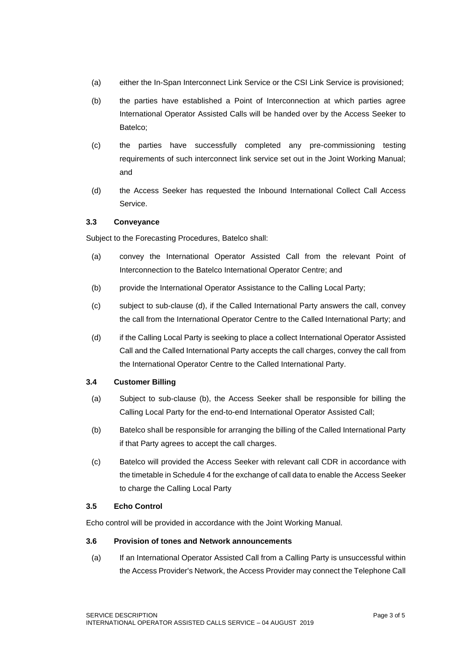- (a) either the In-Span Interconnect Link Service or the CSI Link Service is provisioned;
- (b) the parties have established a Point of Interconnection at which parties agree International Operator Assisted Calls will be handed over by the Access Seeker to Batelco;
- (c) the parties have successfully completed any pre-commissioning testing requirements of such interconnect link service set out in the Joint Working Manual; and
- (d) the Access Seeker has requested the Inbound International Collect Call Access Service.

#### **3.3 Conveyance**

Subject to the Forecasting Procedures, Batelco shall:

- (a) convey the International Operator Assisted Call from the relevant Point of Interconnection to the Batelco International Operator Centre; and
- (b) provide the International Operator Assistance to the Calling Local Party;
- (c) subject to sub-clause (d), if the Called International Party answers the call, convey the call from the International Operator Centre to the Called International Party; and
- (d) if the Calling Local Party is seeking to place a collect International Operator Assisted Call and the Called International Party accepts the call charges, convey the call from the International Operator Centre to the Called International Party.

#### **3.4 Customer Billing**

- (a) Subject to sub-clause (b), the Access Seeker shall be responsible for billing the Calling Local Party for the end-to-end International Operator Assisted Call;
- (b) Batelco shall be responsible for arranging the billing of the Called International Party if that Party agrees to accept the call charges.
- (c) Batelco will provided the Access Seeker with relevant call CDR in accordance with the timetable in Schedule 4 for the exchange of call data to enable the Access Seeker to charge the Calling Local Party

#### **3.5 Echo Control**

Echo control will be provided in accordance with the Joint Working Manual.

#### **3.6 Provision of tones and Network announcements**

(a) If an International Operator Assisted Call from a Calling Party is unsuccessful within the Access Provider's Network, the Access Provider may connect the Telephone Call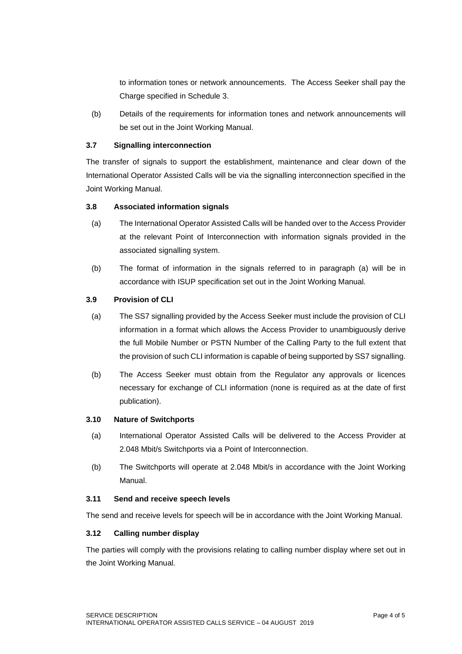to information tones or network announcements. The Access Seeker shall pay the Charge specified in Schedule 3.

(b) Details of the requirements for information tones and network announcements will be set out in the Joint Working Manual.

# **3.7 Signalling interconnection**

The transfer of signals to support the establishment, maintenance and clear down of the International Operator Assisted Calls will be via the signalling interconnection specified in the Joint Working Manual.

#### **3.8 Associated information signals**

- (a) The International Operator Assisted Calls will be handed over to the Access Provider at the relevant Point of Interconnection with information signals provided in the associated signalling system.
- (b) The format of information in the signals referred to in paragraph (a) will be in accordance with ISUP specification set out in the Joint Working Manual.

#### **3.9 Provision of CLI**

- (a) The SS7 signalling provided by the Access Seeker must include the provision of CLI information in a format which allows the Access Provider to unambiguously derive the full Mobile Number or PSTN Number of the Calling Party to the full extent that the provision of such CLI information is capable of being supported by SS7 signalling.
- (b) The Access Seeker must obtain from the Regulator any approvals or licences necessary for exchange of CLI information (none is required as at the date of first publication).

#### **3.10 Nature of Switchports**

- (a) International Operator Assisted Calls will be delivered to the Access Provider at 2.048 Mbit/s Switchports via a Point of Interconnection.
- (b) The Switchports will operate at 2.048 Mbit/s in accordance with the Joint Working Manual.

#### **3.11 Send and receive speech levels**

The send and receive levels for speech will be in accordance with the Joint Working Manual.

#### **3.12 Calling number display**

The parties will comply with the provisions relating to calling number display where set out in the Joint Working Manual.